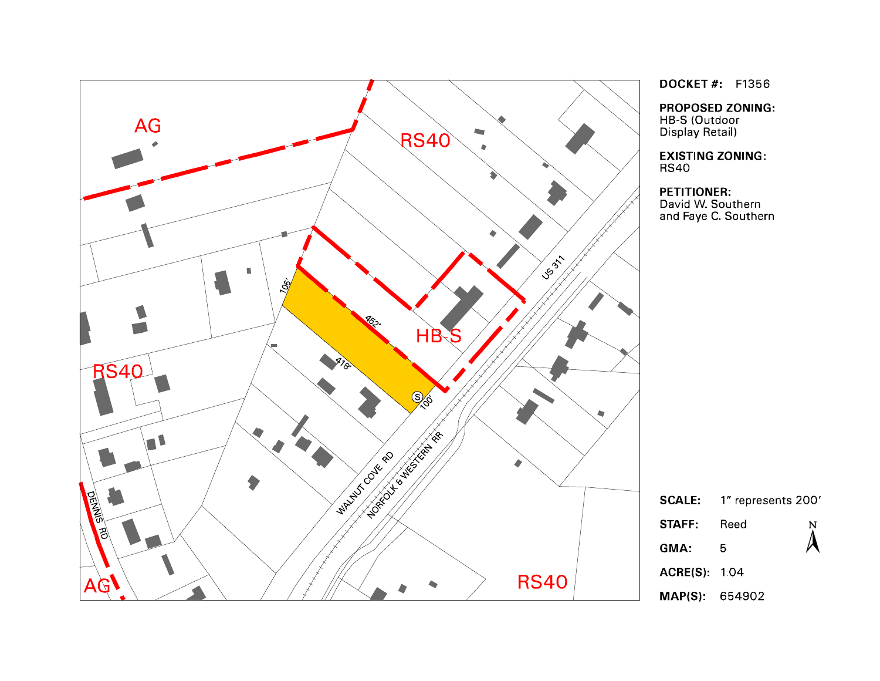

**DOCKET #: F1356** 

**PROPOSED ZONING:** HB-S (Outdoor Display Retail)

**EXISTING ZONING:** 

# **PETITIONER:**

David W. Southern and Faye C. Southern



**ACRE(S): 104** 

MAP(S): 654902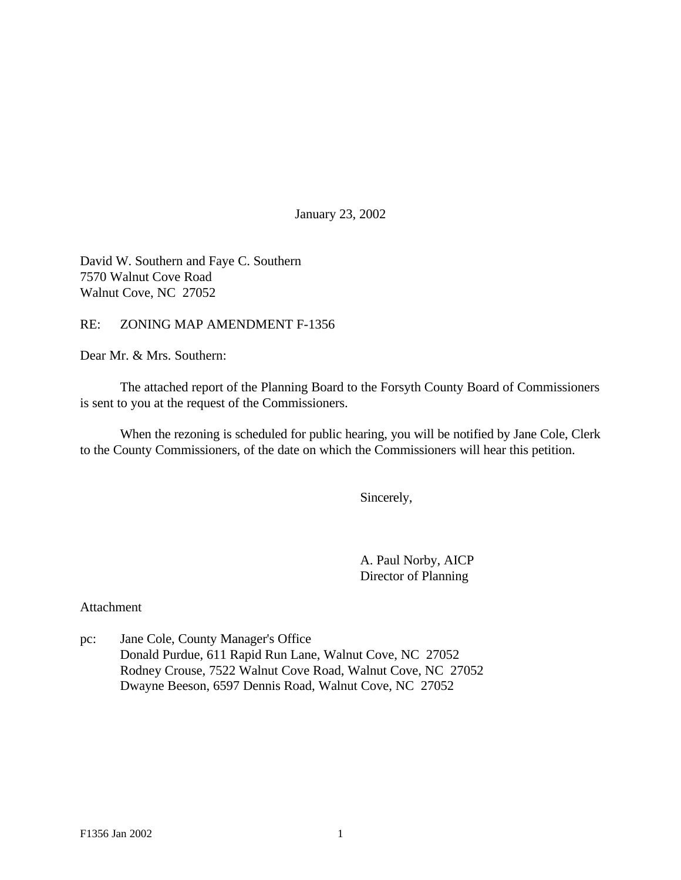January 23, 2002

David W. Southern and Faye C. Southern 7570 Walnut Cove Road Walnut Cove, NC 27052

RE: ZONING MAP AMENDMENT F-1356

Dear Mr. & Mrs. Southern:

The attached report of the Planning Board to the Forsyth County Board of Commissioners is sent to you at the request of the Commissioners.

When the rezoning is scheduled for public hearing, you will be notified by Jane Cole, Clerk to the County Commissioners, of the date on which the Commissioners will hear this petition.

Sincerely,

A. Paul Norby, AICP Director of Planning

Attachment

pc: Jane Cole, County Manager's Office Donald Purdue, 611 Rapid Run Lane, Walnut Cove, NC 27052 Rodney Crouse, 7522 Walnut Cove Road, Walnut Cove, NC 27052 Dwayne Beeson, 6597 Dennis Road, Walnut Cove, NC 27052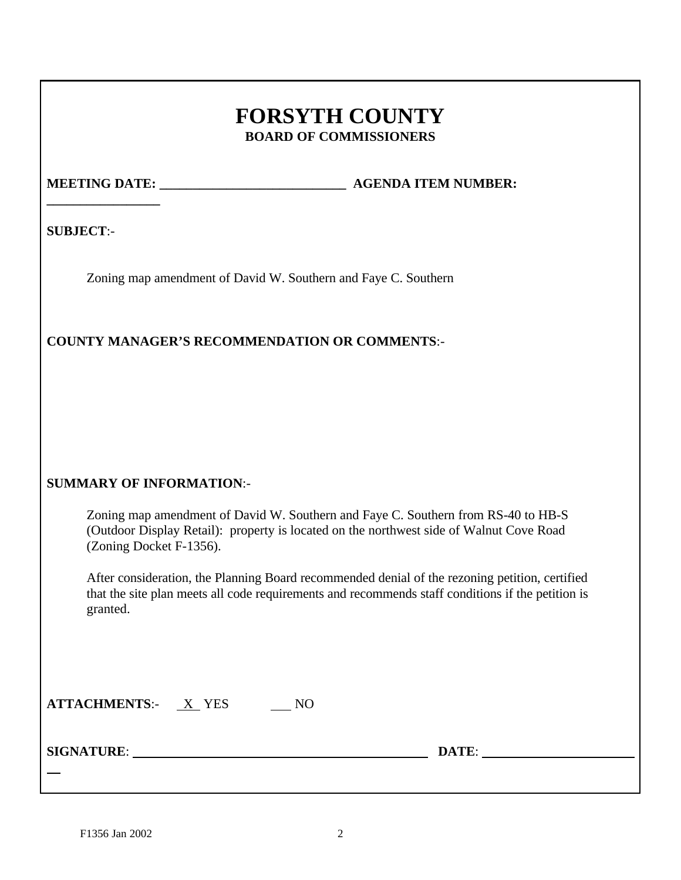# **FORSYTH COUNTY BOARD OF COMMISSIONERS**

**\_\_\_\_\_\_\_\_\_\_\_\_\_\_\_\_\_**

**MEETING DATE: \_\_\_\_\_\_\_\_\_\_\_\_\_\_\_\_\_\_\_\_\_\_\_\_\_\_\_\_ AGENDA ITEM NUMBER:**

**SUBJECT**:-

Zoning map amendment of David W. Southern and Faye C. Southern

**COUNTY MANAGER'S RECOMMENDATION OR COMMENTS**:-

# **SUMMARY OF INFORMATION**:-

Zoning map amendment of David W. Southern and Faye C. Southern from RS-40 to HB-S (Outdoor Display Retail): property is located on the northwest side of Walnut Cove Road (Zoning Docket F-1356).

After consideration, the Planning Board recommended denial of the rezoning petition, certified that the site plan meets all code requirements and recommends staff conditions if the petition is granted.

| <b>ATTACHMENTS:-</b> | <b>YES</b> |  |
|----------------------|------------|--|
|                      |            |  |

**SIGNATURE**: **DATE**:

 $\overline{a}$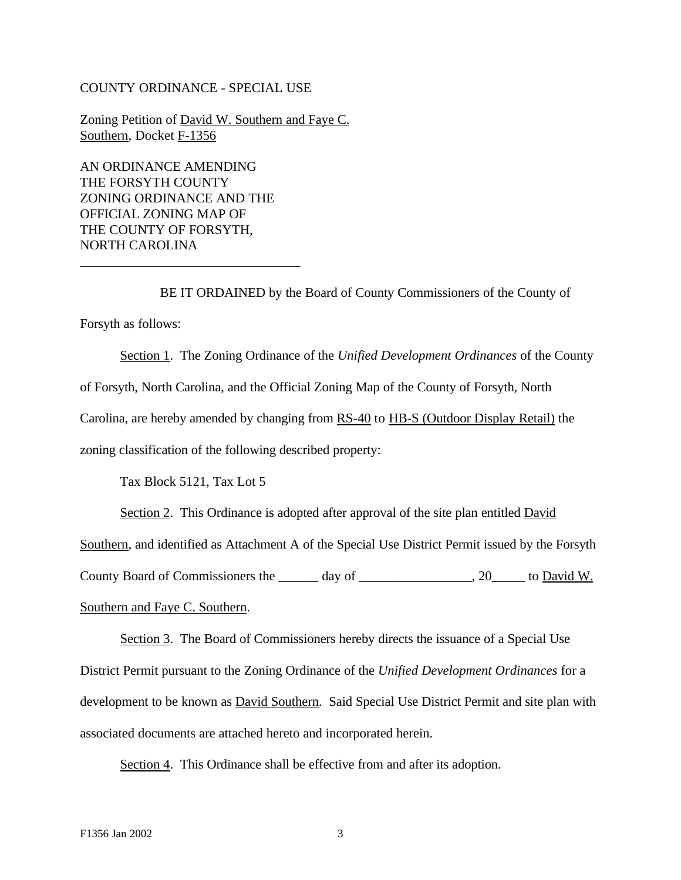#### COUNTY ORDINANCE - SPECIAL USE

Zoning Petition of David W. Southern and Faye C. Southern, Docket F-1356

AN ORDINANCE AMENDING THE FORSYTH COUNTY ZONING ORDINANCE AND THE OFFICIAL ZONING MAP OF THE COUNTY OF FORSYTH, NORTH CAROLINA

\_\_\_\_\_\_\_\_\_\_\_\_\_\_\_\_\_\_\_\_\_\_\_\_\_\_\_\_\_\_\_\_\_

BE IT ORDAINED by the Board of County Commissioners of the County of Forsyth as follows:

Section 1. The Zoning Ordinance of the *Unified Development Ordinances* of the County of Forsyth, North Carolina, and the Official Zoning Map of the County of Forsyth, North Carolina, are hereby amended by changing from RS-40 to HB-S (Outdoor Display Retail) the zoning classification of the following described property:

Tax Block 5121, Tax Lot 5

Section 2. This Ordinance is adopted after approval of the site plan entitled David

Southern, and identified as Attachment A of the Special Use District Permit issued by the Forsyth

County Board of Commissioners the \_\_\_\_\_\_ day of \_\_\_\_\_\_\_\_\_\_\_\_\_\_\_, 20\_\_\_\_\_ to David W.

Southern and Faye C. Southern.

Section 3. The Board of Commissioners hereby directs the issuance of a Special Use District Permit pursuant to the Zoning Ordinance of the *Unified Development Ordinances* for a development to be known as **David Southern.** Said Special Use District Permit and site plan with associated documents are attached hereto and incorporated herein.

Section 4. This Ordinance shall be effective from and after its adoption.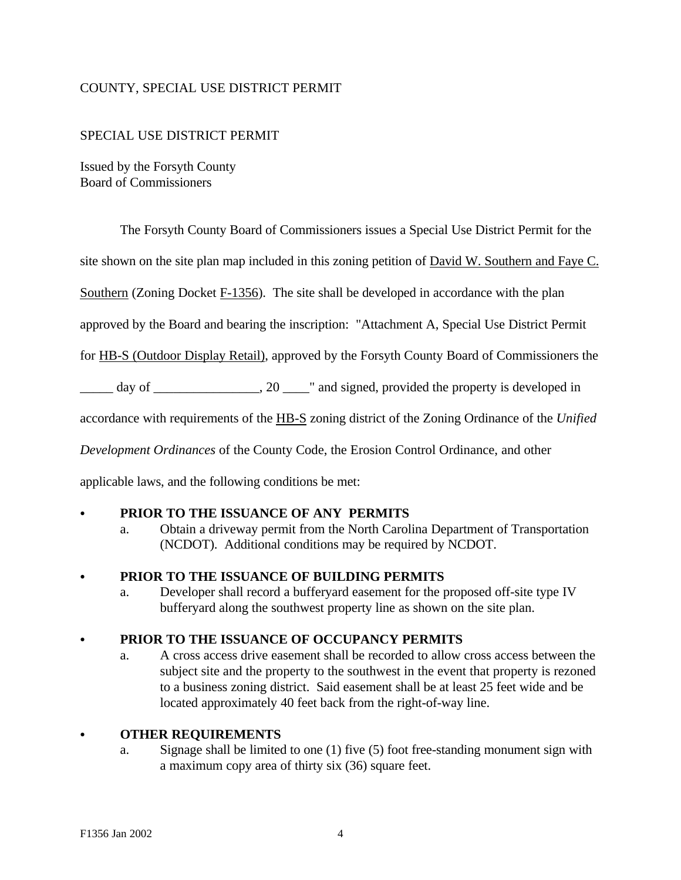# COUNTY, SPECIAL USE DISTRICT PERMIT

#### SPECIAL USE DISTRICT PERMIT

Issued by the Forsyth County Board of Commissioners

The Forsyth County Board of Commissioners issues a Special Use District Permit for the

site shown on the site plan map included in this zoning petition of David W. Southern and Faye C.

Southern (Zoning Docket F-1356). The site shall be developed in accordance with the plan

approved by the Board and bearing the inscription: "Attachment A, Special Use District Permit

for HB-S (Outdoor Display Retail), approved by the Forsyth County Board of Commissioners the

\_\_\_\_\_ day of \_\_\_\_\_\_\_\_\_\_\_\_\_\_\_\_, 20 \_\_\_\_" and signed, provided the property is developed in

accordance with requirements of the HB-S zoning district of the Zoning Ordinance of the *Unified*

*Development Ordinances* of the County Code, the Erosion Control Ordinance, and other

applicable laws, and the following conditions be met:

## PRIOR TO THE ISSUANCE OF ANY PERMITS

a. Obtain a driveway permit from the North Carolina Department of Transportation (NCDOT). Additional conditions may be required by NCDOT.

#### PRIOR TO THE ISSUANCE OF BUILDING PERMITS

a. Developer shall record a bufferyard easement for the proposed off-site type IV bufferyard along the southwest property line as shown on the site plan.

#### C **PRIOR TO THE ISSUANCE OF OCCUPANCY PERMITS**

a. A cross access drive easement shall be recorded to allow cross access between the subject site and the property to the southwest in the event that property is rezoned to a business zoning district. Said easement shall be at least 25 feet wide and be located approximately 40 feet back from the right-of-way line.

#### C **OTHER REQUIREMENTS**

a. Signage shall be limited to one (1) five (5) foot free-standing monument sign with a maximum copy area of thirty six (36) square feet.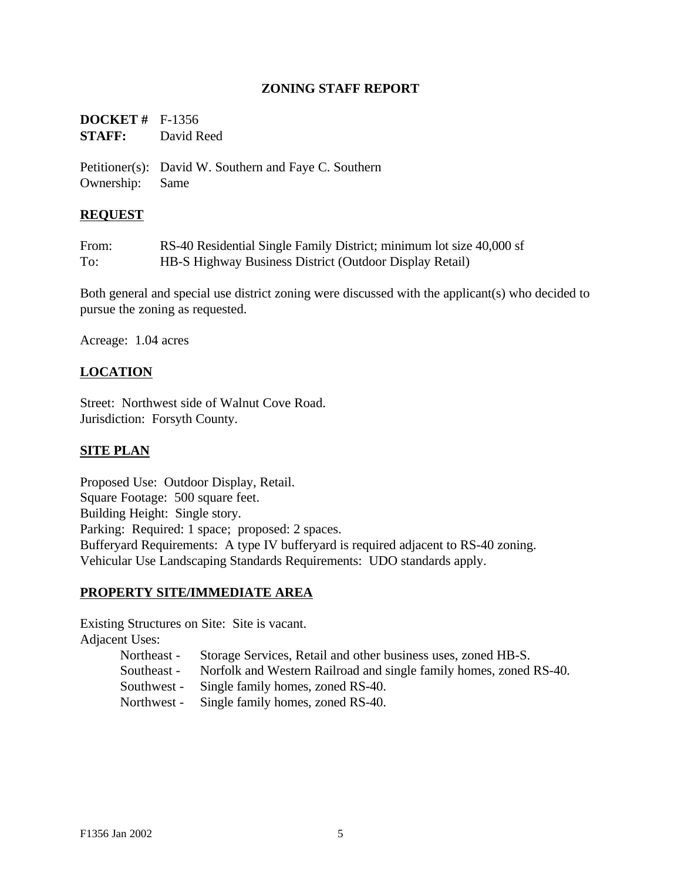# **ZONING STAFF REPORT**

| <b>DOCKET</b> # $F-1356$ |            |
|--------------------------|------------|
| <b>STAFF:</b>            | David Reed |

Petitioner(s): David W. Southern and Faye C. Southern Ownership: Same

## **REQUEST**

| From: | RS-40 Residential Single Family District; minimum lot size 40,000 sf |
|-------|----------------------------------------------------------------------|
| To:   | HB-S Highway Business District (Outdoor Display Retail)              |

Both general and special use district zoning were discussed with the applicant(s) who decided to pursue the zoning as requested.

Acreage: 1.04 acres

# **LOCATION**

Street: Northwest side of Walnut Cove Road. Jurisdiction: Forsyth County.

#### **SITE PLAN**

Proposed Use: Outdoor Display, Retail. Square Footage: 500 square feet. Building Height: Single story. Parking: Required: 1 space; proposed: 2 spaces. Bufferyard Requirements: A type IV bufferyard is required adjacent to RS-40 zoning. Vehicular Use Landscaping Standards Requirements: UDO standards apply.

#### **PROPERTY SITE/IMMEDIATE AREA**

Existing Structures on Site: Site is vacant. Adjacent Uses:

Northeast - Storage Services, Retail and other business uses, zoned HB-S.

Southeast - Norfolk and Western Railroad and single family homes, zoned RS-40.

Southwest - Single family homes, zoned RS-40.

Northwest - Single family homes, zoned RS-40.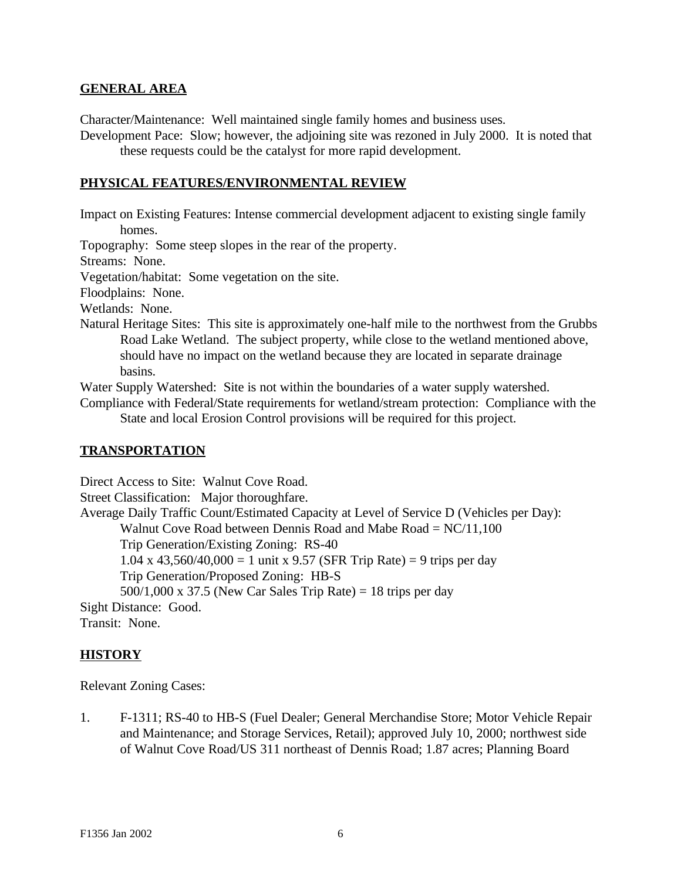#### **GENERAL AREA**

Character/Maintenance: Well maintained single family homes and business uses.

Development Pace: Slow; however, the adjoining site was rezoned in July 2000. It is noted that these requests could be the catalyst for more rapid development.

#### **PHYSICAL FEATURES/ENVIRONMENTAL REVIEW**

Impact on Existing Features: Intense commercial development adjacent to existing single family homes.

Topography: Some steep slopes in the rear of the property.

Streams: None.

Vegetation/habitat: Some vegetation on the site.

Floodplains: None.

Wetlands: None.

Natural Heritage Sites: This site is approximately one-half mile to the northwest from the Grubbs Road Lake Wetland. The subject property, while close to the wetland mentioned above, should have no impact on the wetland because they are located in separate drainage basins.

Water Supply Watershed: Site is not within the boundaries of a water supply watershed.

Compliance with Federal/State requirements for wetland/stream protection: Compliance with the State and local Erosion Control provisions will be required for this project.

#### **TRANSPORTATION**

Direct Access to Site: Walnut Cove Road. Street Classification: Major thoroughfare. Average Daily Traffic Count/Estimated Capacity at Level of Service D (Vehicles per Day): Walnut Cove Road between Dennis Road and Mabe Road =  $NC/11,100$ Trip Generation/Existing Zoning: RS-40 1.04 x 43,560/40,000 = 1 unit x 9.57 (SFR Trip Rate) = 9 trips per day Trip Generation/Proposed Zoning: HB-S  $500/1,000 \times 37.5$  (New Car Sales Trip Rate) = 18 trips per day Sight Distance: Good. Transit: None.

#### **HISTORY**

Relevant Zoning Cases:

1. F-1311; RS-40 to HB-S (Fuel Dealer; General Merchandise Store; Motor Vehicle Repair and Maintenance; and Storage Services, Retail); approved July 10, 2000; northwest side of Walnut Cove Road/US 311 northeast of Dennis Road; 1.87 acres; Planning Board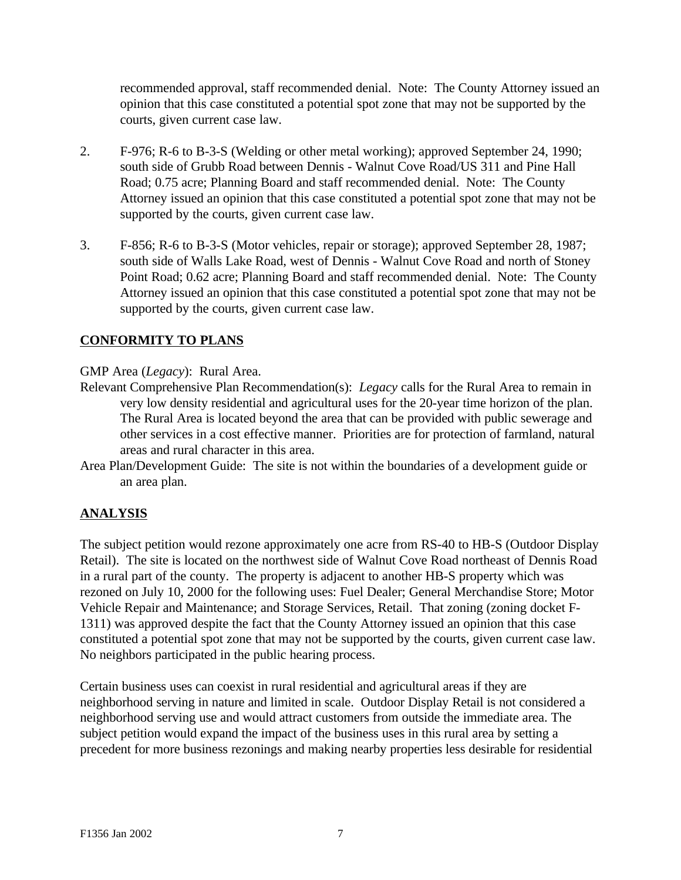recommended approval, staff recommended denial. Note: The County Attorney issued an opinion that this case constituted a potential spot zone that may not be supported by the courts, given current case law.

- 2. F-976; R-6 to B-3-S (Welding or other metal working); approved September 24, 1990; south side of Grubb Road between Dennis - Walnut Cove Road/US 311 and Pine Hall Road; 0.75 acre; Planning Board and staff recommended denial. Note: The County Attorney issued an opinion that this case constituted a potential spot zone that may not be supported by the courts, given current case law.
- 3. F-856; R-6 to B-3-S (Motor vehicles, repair or storage); approved September 28, 1987; south side of Walls Lake Road, west of Dennis - Walnut Cove Road and north of Stoney Point Road; 0.62 acre; Planning Board and staff recommended denial. Note: The County Attorney issued an opinion that this case constituted a potential spot zone that may not be supported by the courts, given current case law.

# **CONFORMITY TO PLANS**

GMP Area (*Legacy*): Rural Area.

- Relevant Comprehensive Plan Recommendation(s): *Legacy* calls for the Rural Area to remain in very low density residential and agricultural uses for the 20-year time horizon of the plan. The Rural Area is located beyond the area that can be provided with public sewerage and other services in a cost effective manner. Priorities are for protection of farmland, natural areas and rural character in this area.
- Area Plan/Development Guide: The site is not within the boundaries of a development guide or an area plan.

# **ANALYSIS**

The subject petition would rezone approximately one acre from RS-40 to HB-S (Outdoor Display Retail). The site is located on the northwest side of Walnut Cove Road northeast of Dennis Road in a rural part of the county. The property is adjacent to another HB-S property which was rezoned on July 10, 2000 for the following uses: Fuel Dealer; General Merchandise Store; Motor Vehicle Repair and Maintenance; and Storage Services, Retail. That zoning (zoning docket F-1311) was approved despite the fact that the County Attorney issued an opinion that this case constituted a potential spot zone that may not be supported by the courts, given current case law. No neighbors participated in the public hearing process.

Certain business uses can coexist in rural residential and agricultural areas if they are neighborhood serving in nature and limited in scale. Outdoor Display Retail is not considered a neighborhood serving use and would attract customers from outside the immediate area. The subject petition would expand the impact of the business uses in this rural area by setting a precedent for more business rezonings and making nearby properties less desirable for residential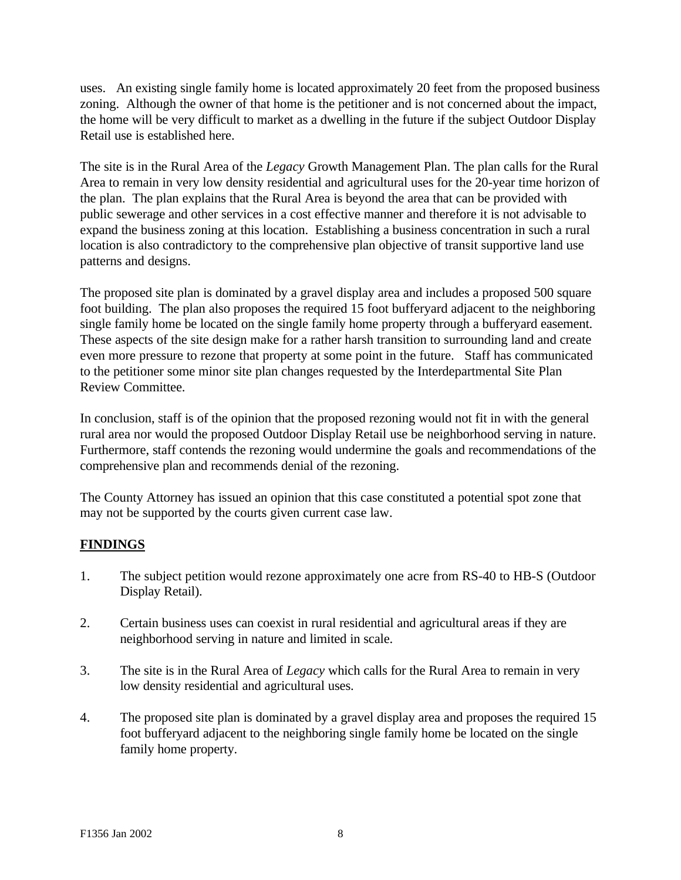uses. An existing single family home is located approximately 20 feet from the proposed business zoning. Although the owner of that home is the petitioner and is not concerned about the impact, the home will be very difficult to market as a dwelling in the future if the subject Outdoor Display Retail use is established here.

The site is in the Rural Area of the *Legacy* Growth Management Plan. The plan calls for the Rural Area to remain in very low density residential and agricultural uses for the 20-year time horizon of the plan. The plan explains that the Rural Area is beyond the area that can be provided with public sewerage and other services in a cost effective manner and therefore it is not advisable to expand the business zoning at this location. Establishing a business concentration in such a rural location is also contradictory to the comprehensive plan objective of transit supportive land use patterns and designs.

The proposed site plan is dominated by a gravel display area and includes a proposed 500 square foot building. The plan also proposes the required 15 foot bufferyard adjacent to the neighboring single family home be located on the single family home property through a bufferyard easement. These aspects of the site design make for a rather harsh transition to surrounding land and create even more pressure to rezone that property at some point in the future. Staff has communicated to the petitioner some minor site plan changes requested by the Interdepartmental Site Plan Review Committee.

In conclusion, staff is of the opinion that the proposed rezoning would not fit in with the general rural area nor would the proposed Outdoor Display Retail use be neighborhood serving in nature. Furthermore, staff contends the rezoning would undermine the goals and recommendations of the comprehensive plan and recommends denial of the rezoning.

The County Attorney has issued an opinion that this case constituted a potential spot zone that may not be supported by the courts given current case law.

# **FINDINGS**

- 1. The subject petition would rezone approximately one acre from RS-40 to HB-S (Outdoor Display Retail).
- 2. Certain business uses can coexist in rural residential and agricultural areas if they are neighborhood serving in nature and limited in scale.
- 3. The site is in the Rural Area of *Legacy* which calls for the Rural Area to remain in very low density residential and agricultural uses.
- 4. The proposed site plan is dominated by a gravel display area and proposes the required 15 foot bufferyard adjacent to the neighboring single family home be located on the single family home property.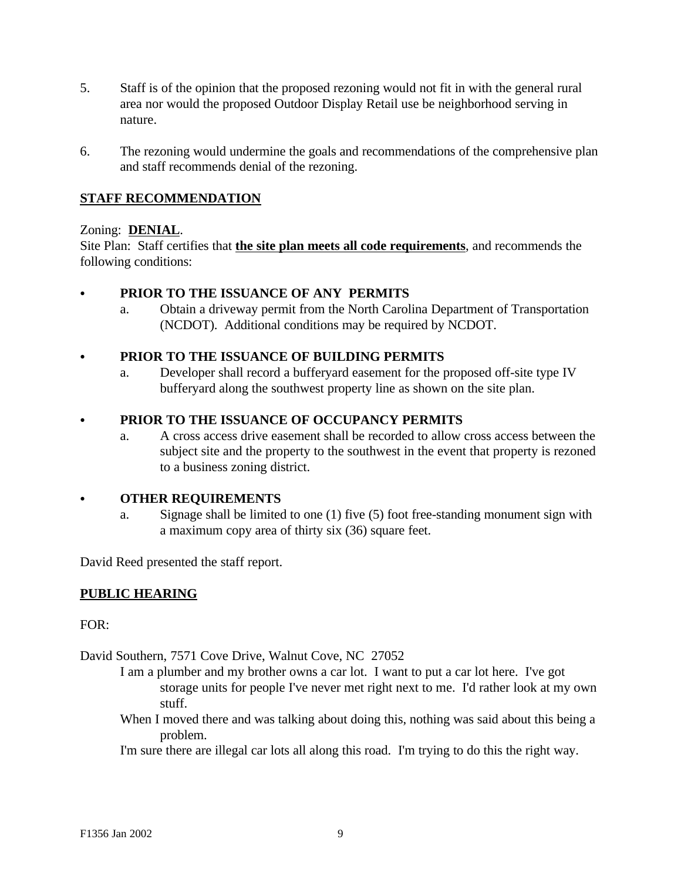- 5. Staff is of the opinion that the proposed rezoning would not fit in with the general rural area nor would the proposed Outdoor Display Retail use be neighborhood serving in nature.
- 6. The rezoning would undermine the goals and recommendations of the comprehensive plan and staff recommends denial of the rezoning.

# **STAFF RECOMMENDATION**

## Zoning: **DENIAL**.

Site Plan: Staff certifies that **the site plan meets all code requirements**, and recommends the following conditions:

## PRIOR TO THE ISSUANCE OF ANY PERMITS

a. Obtain a driveway permit from the North Carolina Department of Transportation (NCDOT). Additional conditions may be required by NCDOT.

## C **PRIOR TO THE ISSUANCE OF BUILDING PERMITS**

a. Developer shall record a bufferyard easement for the proposed off-site type IV bufferyard along the southwest property line as shown on the site plan.

# C **PRIOR TO THE ISSUANCE OF OCCUPANCY PERMITS**

a. A cross access drive easement shall be recorded to allow cross access between the subject site and the property to the southwest in the event that property is rezoned to a business zoning district.

#### C **OTHER REQUIREMENTS**

a. Signage shall be limited to one (1) five (5) foot free-standing monument sign with a maximum copy area of thirty six (36) square feet.

David Reed presented the staff report.

# **PUBLIC HEARING**

#### FOR:

David Southern, 7571 Cove Drive, Walnut Cove, NC 27052

- I am a plumber and my brother owns a car lot. I want to put a car lot here. I've got storage units for people I've never met right next to me. I'd rather look at my own stuff.
- When I moved there and was talking about doing this, nothing was said about this being a problem.

I'm sure there are illegal car lots all along this road. I'm trying to do this the right way.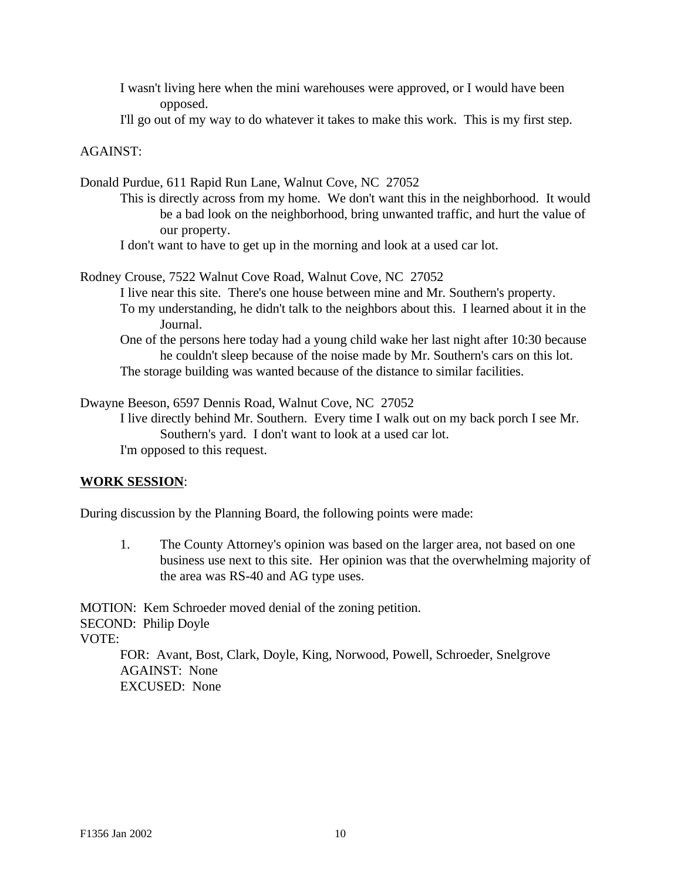I wasn't living here when the mini warehouses were approved, or I would have been opposed.

I'll go out of my way to do whatever it takes to make this work. This is my first step.

#### AGAINST:

Donald Purdue, 611 Rapid Run Lane, Walnut Cove, NC 27052

- This is directly across from my home. We don't want this in the neighborhood. It would be a bad look on the neighborhood, bring unwanted traffic, and hurt the value of our property.
- I don't want to have to get up in the morning and look at a used car lot.

Rodney Crouse, 7522 Walnut Cove Road, Walnut Cove, NC 27052 I live near this site. There's one house between mine and Mr. Southern's property. To my understanding, he didn't talk to the neighbors about this. I learned about it in the Journal. One of the persons here today had a young child wake her last night after 10:30 because

he couldn't sleep because of the noise made by Mr. Southern's cars on this lot. The storage building was wanted because of the distance to similar facilities.

Dwayne Beeson, 6597 Dennis Road, Walnut Cove, NC 27052

I live directly behind Mr. Southern. Every time I walk out on my back porch I see Mr. Southern's yard. I don't want to look at a used car lot. I'm opposed to this request.

#### **WORK SESSION**:

During discussion by the Planning Board, the following points were made:

1. The County Attorney's opinion was based on the larger area, not based on one business use next to this site. Her opinion was that the overwhelming majority of the area was RS-40 and AG type uses.

MOTION: Kem Schroeder moved denial of the zoning petition. SECOND: Philip Doyle VOTE: FOR: Avant, Bost, Clark, Doyle, King, Norwood, Powell, Schroeder, Snelgrove AGAINST: None EXCUSED: None